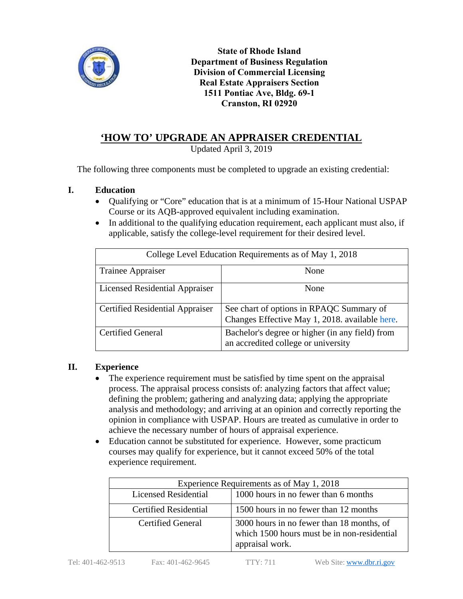

**State of Rhode Island Department of Business Regulation Division of Commercial Licensing Real Estate Appraisers Section 1511 Pontiac Ave, Bldg. 69-1 Cranston, RI 02920**

# **'HOW TO' UPGRADE AN APPRAISER CREDENTIAL**

Updated April 3, 2019

The following three components must be completed to upgrade an existing credential:

## **I. Education**

- Qualifying or "Core" education that is at a minimum of 15-Hour National USPAP Course or its AQB-approved equivalent including examination.
- In additional to the qualifying education requirement, each applicant must also, if applicable, satisfy the college-level requirement for their desired level.

| College Level Education Requirements as of May 1, 2018 |                                                                                            |  |  |
|--------------------------------------------------------|--------------------------------------------------------------------------------------------|--|--|
| Trainee Appraiser                                      | None                                                                                       |  |  |
| Licensed Residential Appraiser                         | None                                                                                       |  |  |
| <b>Certified Residential Appraiser</b>                 | See chart of options in RPAQC Summary of<br>Changes Effective May 1, 2018. available here. |  |  |
| <b>Certified General</b>                               | Bachelor's degree or higher (in any field) from<br>an accredited college or university     |  |  |

### **II. Experience**

- The experience requirement must be satisfied by time spent on the appraisal process. The appraisal process consists of: analyzing factors that affect value; defining the problem; gathering and analyzing data; applying the appropriate analysis and methodology; and arriving at an opinion and correctly reporting the opinion in compliance with USPAP. Hours are treated as cumulative in order to achieve the necessary number of hours of appraisal experience.
- Education cannot be substituted for experience. However, some practicum courses may qualify for experience, but it cannot exceed 50% of the total experience requirement.

| Experience Requirements as of May 1, 2018 |                                                                                                             |  |
|-------------------------------------------|-------------------------------------------------------------------------------------------------------------|--|
| <b>Licensed Residential</b>               | 1000 hours in no fewer than 6 months                                                                        |  |
| <b>Certified Residential</b>              | 1500 hours in no fewer than 12 months                                                                       |  |
| <b>Certified General</b>                  | 3000 hours in no fewer than 18 months, of<br>which 1500 hours must be in non-residential<br>appraisal work. |  |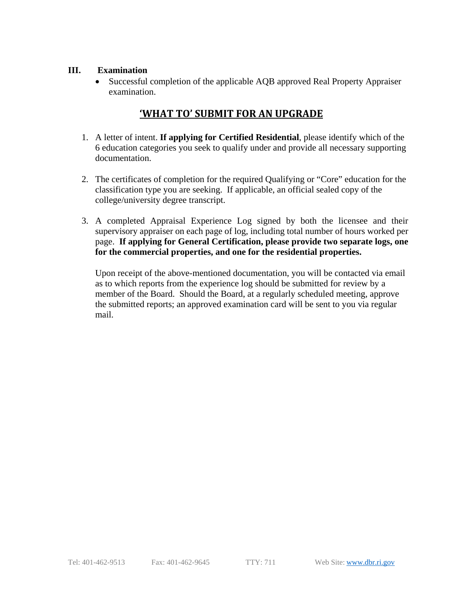## **III. Examination**

 Successful completion of the applicable AQB approved Real Property Appraiser examination.

# **'WHAT TO' SUBMIT FOR AN UPGRADE**

- 1. A letter of intent. **If applying for Certified Residential**, please identify which of the 6 education categories you seek to qualify under and provide all necessary supporting documentation.
- 2. The certificates of completion for the required Qualifying or "Core" education for the classification type you are seeking. If applicable, an official sealed copy of the college/university degree transcript.
- 3. A completed Appraisal Experience Log signed by both the licensee and their supervisory appraiser on each page of log, including total number of hours worked per page. **If applying for General Certification, please provide two separate logs, one for the commercial properties, and one for the residential properties.**

Upon receipt of the above-mentioned documentation, you will be contacted via email as to which reports from the experience log should be submitted for review by a member of the Board. Should the Board, at a regularly scheduled meeting, approve the submitted reports; an approved examination card will be sent to you via regular mail.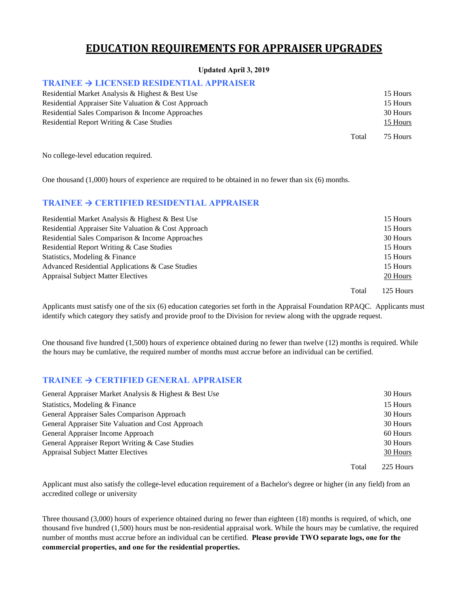# **EDUCATION REQUIREMENTS FOR APPRAISER UPGRADES**

#### **Updated April 3, 2019**

### **TRAINEE → LICENSED RESIDENTIAL APPRAISER**

| Residential Market Analysis & Highest & Best Use     |       | 15 Hours |
|------------------------------------------------------|-------|----------|
| Residential Appraiser Site Valuation & Cost Approach |       | 15 Hours |
| Residential Sales Comparison & Income Approaches     |       | 30 Hours |
| Residential Report Writing & Case Studies            |       | 15 Hours |
|                                                      | Total | 75 Hours |

No college-level education required.

One thousand (1,000) hours of experience are required to be obtained in no fewer than six (6) months.

### **TRAINEE → CERTIFIED RESIDENTIAL APPRAISER**

| Residential Market Analysis & Highest & Best Use     |       | 15 Hours  |
|------------------------------------------------------|-------|-----------|
| Residential Appraiser Site Valuation & Cost Approach |       | 15 Hours  |
| Residential Sales Comparison & Income Approaches     |       | 30 Hours  |
| Residential Report Writing & Case Studies            |       | 15 Hours  |
| Statistics, Modeling & Finance                       |       | 15 Hours  |
| Advanced Residential Applications & Case Studies     |       | 15 Hours  |
| <b>Appraisal Subject Matter Electives</b>            |       | 20 Hours  |
|                                                      | Total | 125 Hours |

Applicants must satisfy one of the six (6) education categories set forth in the Appraisal Foundation RPAQC. Applicants must identify which category they satisfy and provide proof to the Division for review along with the upgrade request.

One thousand five hundred (1,500) hours of experience obtained during no fewer than twelve (12) months is required. While the hours may be cumlative, the required number of months must accrue before an individual can be certified.

#### **TRAINEE → CERTIFIED GENERAL APPRAISER**

| General Appraiser Market Analysis & Highest & Best Use |       | 30 Hours  |
|--------------------------------------------------------|-------|-----------|
| Statistics, Modeling & Finance                         |       | 15 Hours  |
| General Appraiser Sales Comparison Approach            |       | 30 Hours  |
| General Appraiser Site Valuation and Cost Approach     |       | 30 Hours  |
| General Appraiser Income Approach                      |       | 60 Hours  |
| General Appraiser Report Writing & Case Studies        |       | 30 Hours  |
| <b>Appraisal Subject Matter Electives</b>              |       | 30 Hours  |
|                                                        | Total | 225 Hours |

Applicant must also satisfy the college-level education requirement of a Bachelor's degree or higher (in any field) from an accredited college or university

Three thousand (3,000) hours of experience obtained during no fewer than eighteen (18) months is required, of which, one thousand five hundred (1,500) hours must be non-residential appraisal work. While the hours may be cumlative, the required number of months must accrue before an individual can be certified. **Please provide TWO separate logs, one for the commercial properties, and one for the residential properties.**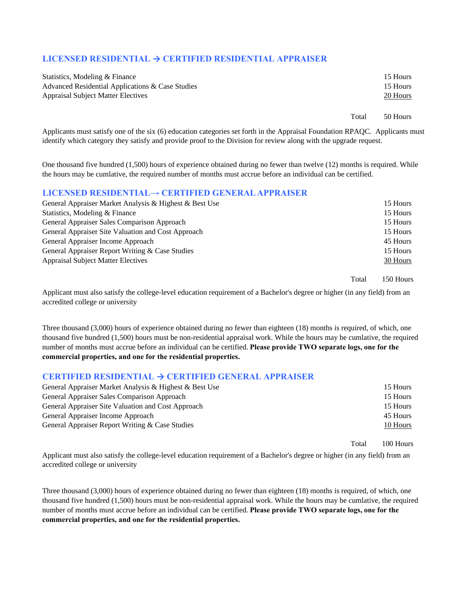### **LICENSED RESIDENTIAL → CERTIFIED RESIDENTIAL APPRAISER**

| Statistics, Modeling & Finance                   |       | 15 Hours |
|--------------------------------------------------|-------|----------|
| Advanced Residential Applications & Case Studies |       | 15 Hours |
| <b>Appraisal Subject Matter Electives</b>        |       | 20 Hours |
|                                                  |       |          |
|                                                  | Total | 50 Hours |

Applicants must satisfy one of the six (6) education categories set forth in the Appraisal Foundation RPAQC. Applicants must identify which category they satisfy and provide proof to the Division for review along with the upgrade request.

One thousand five hundred (1,500) hours of experience obtained during no fewer than twelve (12) months is required. While the hours may be cumlative, the required number of months must accrue before an individual can be certified.

#### **LICENSED RESIDENTIAL→ CERTIFIED GENERAL APPRAISER**

| General Appraiser Market Analysis & Highest & Best Use | 15 Hours |
|--------------------------------------------------------|----------|
| Statistics, Modeling & Finance                         | 15 Hours |
| General Appraiser Sales Comparison Approach            | 15 Hours |
| General Appraiser Site Valuation and Cost Approach     | 15 Hours |
| General Appraiser Income Approach                      | 45 Hours |
| General Appraiser Report Writing & Case Studies        | 15 Hours |
| <b>Appraisal Subject Matter Electives</b>              | 30 Hours |
|                                                        |          |

Total 150 Hours

Applicant must also satisfy the college-level education requirement of a Bachelor's degree or higher (in any field) from an accredited college or university

Three thousand (3,000) hours of experience obtained during no fewer than eighteen (18) months is required, of which, one thousand five hundred (1,500) hours must be non-residential appraisal work. While the hours may be cumlative, the required number of months must accrue before an individual can be certified. **Please provide TWO separate logs, one for the commercial properties, and one for the residential properties.**

### **CERTIFIED RESIDENTIAL → CERTIFIED GENERAL APPRAISER**

| General Appraiser Market Analysis & Highest & Best Use | 15 Hours |
|--------------------------------------------------------|----------|
| General Appraiser Sales Comparison Approach            | 15 Hours |
| General Appraiser Site Valuation and Cost Approach     | 15 Hours |
| General Appraiser Income Approach                      | 45 Hours |
| General Appraiser Report Writing & Case Studies        | 10 Hours |
|                                                        |          |

Total 100 Hours

Applicant must also satisfy the college-level education requirement of a Bachelor's degree or higher (in any field) from an accredited college or university

Three thousand (3,000) hours of experience obtained during no fewer than eighteen (18) months is required, of which, one thousand five hundred (1,500) hours must be non-residential appraisal work. While the hours may be cumlative, the required number of months must accrue before an individual can be certified. **Please provide TWO separate logs, one for the commercial properties, and one for the residential properties.**